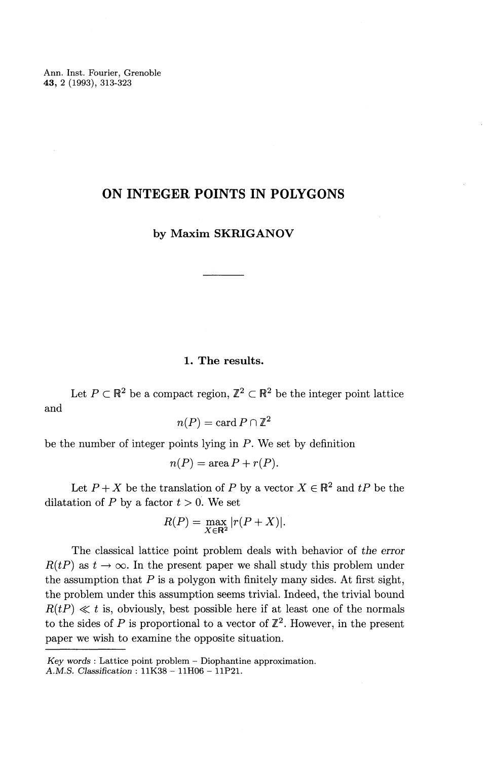Ann. Inst. Fourier, Grenoble **43,** 2 (1993), 313-323

# **ON INTEGER POINTS IN POLYGONS**

# **by Maxim SKRIGANOV**

## **1. The results.**

Let  $P \subset \mathbb{R}^2$  be a compact region,  $\mathbb{Z}^2 \subset \mathbb{R}^2$  be the integer point lattice and

 $n(P) = \text{card } P \cap \mathbb{Z}^2$ 

be the number of integer points lying in P. We set by definition

$$
n(P) = \text{area } P + r(P).
$$

Let  $P + X$  be the translation of P by a vector  $X \in \mathbb{R}^2$  and  $tP$  be the dilatation of P by a factor  $t > 0$ . We set

$$
R(P) = \max_{X \in \mathbb{R}^2} |r(P + X)|.
$$

The classical lattice point problem deals with behavior of *the error*  $R(tP)$  as  $t \to \infty$ . In the present paper we shall study this problem under the assumption that  $P$  is a polygon with finitely many sides. At first sight, the problem under this assumption seems trivial. Indeed, the trivial bound  $R(tP) \ll t$  is, obviously, best possible here if at least one of the normals to the sides of P is proportional to a vector of  $\mathbb{Z}^2$ . However, in the present paper we wish to examine the opposite situation.

*Key words :* Lattice point problem - Diophantine approximation. *A.M.S. Classification :* 11K38 - 11H06 - 11P21.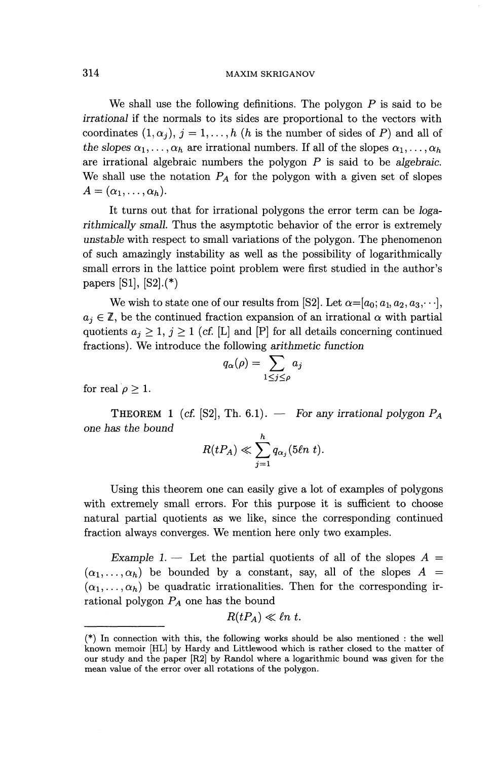#### 314 MAXIM SKRIGANOV

We shall use the following definitions. The polygon  $P$  is said to be *irrational* if the normals to its sides are proportional to the vectors with coordinates  $(1, \alpha_j)$ ,  $j = 1, \ldots, h$  (h is the number of sides of P) and all of *the slopes*  $\alpha_1, \ldots, \alpha_h$  are irrational numbers. If all of the slopes  $\alpha_1, \ldots, \alpha_h$ are irrational algebraic numbers the polygon P is said to be *algebraic.* We shall use the notation  $P_A$  for the polygon with a given set of slopes  $A = (\alpha_1, \ldots, \alpha_h).$ 

It turns out that for irrational polygons the error term can be *logarithmically small.* Thus the asymptotic behavior of the error is extremely *unstable* with respect to small variations of the polygon. The phenomenon of such amazingly instability as well as the possibility of logarithmically small errors in the lattice point problem were first studied in the author's papers [Sl], [S2].(\*)

We wish to state one of our results from [S2]. Let  $\alpha = [a_0; a_1, a_2, a_3, \cdots]$ ,  $a_j \in \mathbb{Z}$ , be the continued fraction expansion of an irrational  $\alpha$  with partial quotients  $a_j \geq 1, j \geq 1$  (cf. [L] and [P] for all details concerning continued fractions). We introduce the following arithmetic function<br>  $q_{\alpha}(\rho) = \sum a_j$ 

$$
q_{\alpha}(\rho) = \sum_{1 \leq j \leq \rho} a_j
$$

for real  $\rho \geq 1$ .

THEOREM 1 (cf. [S2], Th. 6.1). — For *any irrational polygon PA one has the bound h*

$$
R(tP_A) \ll \sum_{j=1}^h q_{\alpha_j}(5\ell n\ t).
$$

Using this theorem one can easily give a lot of examples of polygons with extremely small errors. For this purpose it is sufficient to choose natural partial quotients as we like, since the corresponding continued fraction always converges. We mention here only two examples.

*Example 1.* — Let the partial quotients of all of the slopes  $A =$  $(\alpha_1,\ldots,\alpha_h)$  be bounded by a constant, say, all of the slopes  $A =$  $(\alpha_1,\ldots,\alpha_h)$  be quadratic irrationalities. Then for the corresponding irrational polygon  $P_A$  one has the bound

$$
R(tP_A) \ll \ell n \ t.
$$

<sup>(\*)</sup> In connection with this, the following works should be also mentioned : the well known memoir [HL] by Hardy and Littlewood which is rather closed to the matter of our study and the paper [R2] by Randol where a logarithmic bound was given for the mean value of the error over all rotations of the polygon.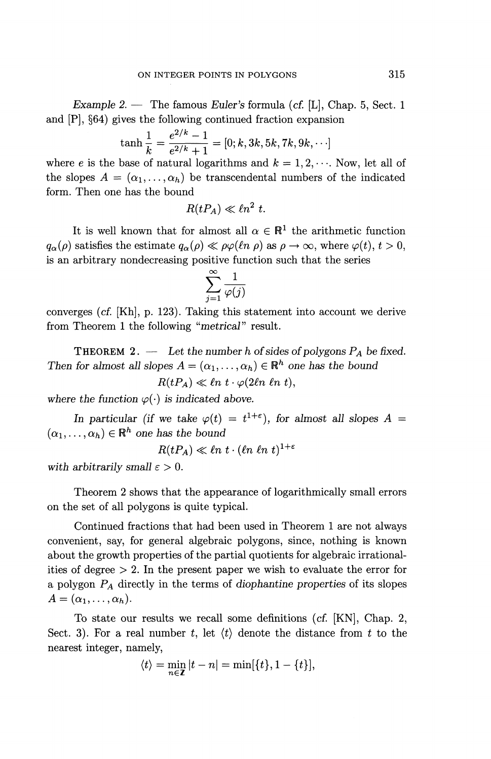*Example 2. —* The famous *Euler's* formula (cf. [L], Chap. 5, Sect. 1

and [P], §64) gives the following continued fraction expansion  
\n
$$
\tanh\frac{1}{k} = \frac{e^{2/k} - 1}{e^{2/k} + 1} = [0; k, 3k, 5k, 7k, 9k, \cdots]
$$

where *e* is the base of natural logarithms and  $k = 1, 2, \cdots$ . Now, let all of the slopes  $A = (\alpha_1, \ldots, \alpha_h)$  be transcendental numbers of the indicated form. Then one has the bound

$$
R(tP_A) \ll \ell n^2 \ t.
$$

It is well known that for almost all  $\alpha \in \mathbb{R}^1$  the arithmetic function  $q_{\alpha}(\rho)$  satisfies the estimate  $q_{\alpha}(\rho) \ll \rho \varphi(\ell n \rho)$  as  $\rho \to \infty$ , where  $\varphi(t), t > 0$ , is an arbitrary nondecreasing positive function such that the series

$$
\sum_{j=1}^{\infty} \frac{1}{\varphi(j)}
$$

converges (cf. [Kh], p. 123). Taking this statement into account we derive from Theorem 1 the following "*metrical"* result.

THEOREM 2. — *Let the number h of sides of polygons PA be fixed. Then for almost all slopes*  $A = (\alpha_1, \dots, \alpha_h) \in \mathbb{R}^h$  *one has the bound* 

 $R(tP_A) \ll \ell n \ t \cdot \varphi(2\ell n \ \ell n \ t),$ 

where the function  $\varphi(\cdot)$  is indicated above.

*In particular (if we take*  $\varphi(t) = t^{1+\epsilon}$ *), for almost all slopes A =*  $(\alpha_1,\ldots,\alpha_h) \in \mathbb{R}^h$  one has the bound

 $R(tP_A) \ll \ell n \; t \cdot (\ell n \; \ell n \; t)^{1+\delta}$ 

with arbitrarily small  $\varepsilon > 0$ .

Theorem 2 shows that the appearance of logarithmically small errors on the set of all polygons is quite typical.

Continued fractions that had been used in Theorem 1 are not always convenient, say, for general algebraic polygons, since, nothing is known about the growth properties of the partial quotients for algebraic irrationalities of degree  $> 2$ . In the present paper we wish to evaluate the error for a polygon PA directly in the terms of *diophantine properties* of its slopes  $A = (\alpha_1,\ldots,\alpha_h).$ 

To state our results we recall some definitions (cf. [KN], Chap. 2, Sect. 3). For a real number *t,* let *(t)* denote the distance from *t* to the nearest integer, namely,

mely,  
\n
$$
\langle t \rangle = \min_{n \in \mathbb{Z}} |t - n| = \min[\{t\}, 1 - \{t\}],
$$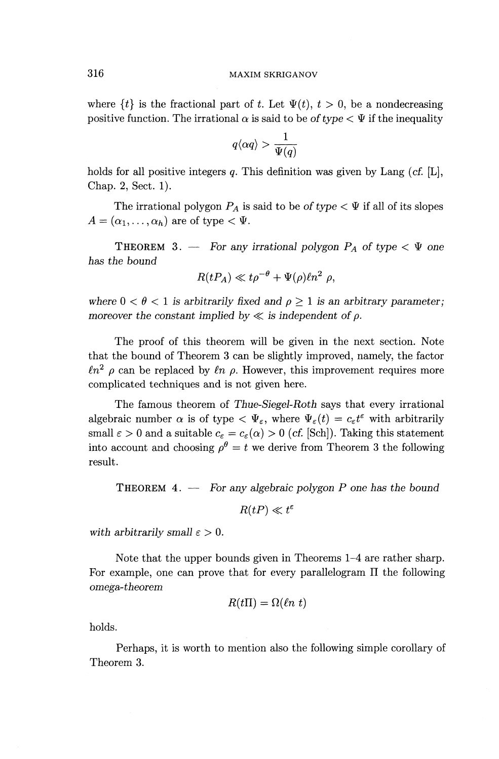## 316 MAXIM SKRIGANOV

where  $\{t\}$  is the fractional part of *t*. Let  $\Psi(t)$ ,  $t > 0$ , be a nondecreasing positive function. The irrational  $\alpha$  is said to be of type  $\lt \Psi$  if the inequality

$$
q\langle \alpha q\rangle > \frac{1}{\Psi(q)}
$$

holds for all positive integers q. This definition was given by Lang (cf. [L], Chap. 2, Sect. 1).

The irrational polygon  $P_A$  is said to be of type  $\lt \Psi$  if all of its slopes  $A = (\alpha_1, \ldots, \alpha_h)$  are of type  $\lt \Psi$ .

THEOREM 3. — For any irrational polygon  $P_A$  of type  $\lt \Psi$  one *has the bound*

$$
R(tP_A) \ll t\rho^{-\theta} + \Psi(\rho)\ell n^2 \rho,
$$

where  $0 < \theta < 1$  is arbitrarily fixed and  $\rho \geq 1$  is an arbitrary parameter; *moreover the constant implied by*  $\ll$  *is independent of*  $\rho$ *.* 

The proof of this theorem will be given in the next section. Note that the bound of Theorem 3 can be slightly improved, namely, the factor  $ln^2$   $\rho$  can be replaced by  $ln \rho$ . However, this improvement requires more complicated techniques and is not given here.

The famous theorem of *Thue-Siegel-Roth* says that every irrational algebraic number  $\alpha$  is of type  $\langle \Psi_{\varepsilon}$ , where  $\Psi_{\varepsilon}(t) = c_{\varepsilon} t^{\varepsilon}$  with arbitrarily small  $\varepsilon > 0$  and a suitable  $c_{\varepsilon} = c_{\varepsilon}(\alpha) > 0$  (cf. [Sch]). Taking this statement into account and choosing  $\rho^{\theta} = t$  we derive from Theorem 3 the following result.

THEOREM 4. — For *any algebraic polygon P one has the bound*

 $R(tP) \ll t^{\varepsilon}$ 

with arbitrarily small  $\varepsilon > 0$ .

Note that the upper bounds given in Theorems 1-4 are rather sharp. For example, one can prove that for every parallelogram  $\Pi$  the following *omega-theorem*

$$
R(t\Pi) = \Omega(\ln t)
$$

holds.

Perhaps, it is worth to mention also the following simple corollary of Theorem 3.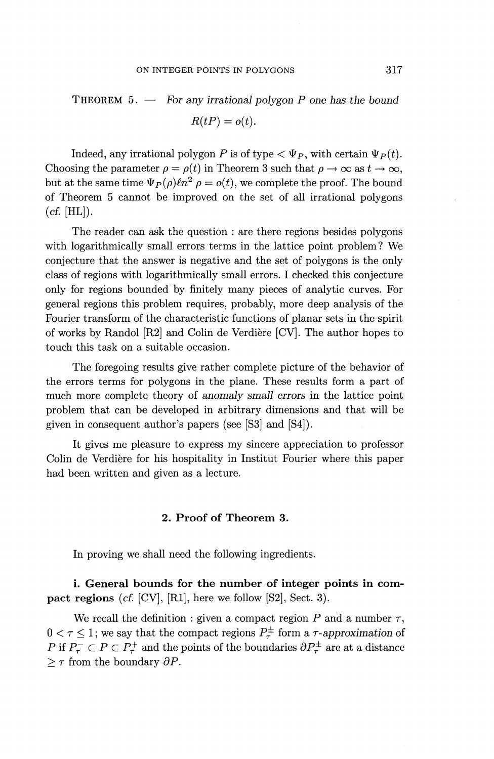THEOREM 5. — For *any irrational polygon P one has the bound*  $R(tP) = o(t)$ .

Indeed, any irrational polygon P is of type  $\langle \Psi_P, \text{ with certain } \Psi_P(t) \rangle$ . Choosing the parameter  $\rho = \rho(t)$  in Theorem 3 such that  $\rho \to \infty$  as  $t \to \infty$ , but at the same time  $\Psi_P(\rho)\ell n^2$   $\rho = o(t)$ , we complete the proof. The bound of Theorem 5 cannot be improved on the set of all irrational polygons  $(cf. [HL]).$ 

The reader can ask the question : are there regions besides polygons with logarithmically small errors terms in the lattice point problem? We conjecture that the answer is negative and the set of polygons is the only class of regions with logarithmically small errors. I checked this conjecture only for regions bounded by finitely many pieces of analytic curves. For general regions this problem requires, probably, more deep analysis of the Fourier transform of the characteristic functions of planar sets in the spirit of works by Randol [R2] and Colin de Verdiere [CV]. The author hopes to touch this task on a suitable occasion.

The foregoing results give rather complete picture of the behavior of the errors terms for polygons in the plane. These results form a part of much more complete theory of *anomaly small errors* in the lattice point problem that can be developed in arbitrary dimensions and that will be given in consequent author's papers (see [S3] and [S4]).

It gives me pleasure to express my sincere appreciation to professor Colin de Verdiere for his hospitality in Institut Fourier where this paper had been written and given as a lecture.

## **2. Proof of Theorem 3.**

In proving we shall need the following ingredients.

**i. General bounds for the number of integer points in compact regions** (cf. [CV], [Rl], here we follow [S2], Sect. 3).

We recall the definition : given a compact region  $P$  and a number  $\tau$ ,  $0 < \tau \leq 1$ ; we say that the compact regions  $P^{\pm}_{\tau}$  form a  $\tau$ -approximation of P if  $P^-_7 \subset P \subset P^+_7$  and the points of the boundaries  $\partial P^{\pm}_7$  are at a distance  $\geq \tau$  from the boundary  $\partial P$ .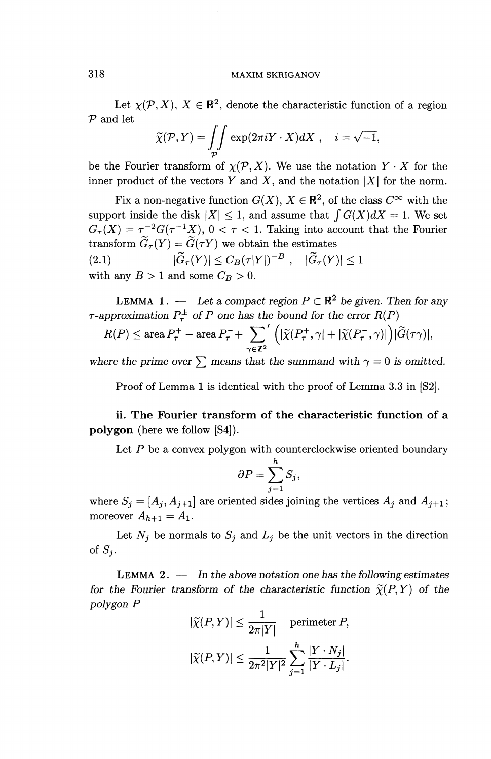### **318** MAXIM **SKRIGANOV**

Let  $\chi(\mathcal{P}, X)$ ,  $X \in \mathbb{R}^2$ , denote the characteristic function of a region *P* and let

$$
\widetilde{\chi}(\mathcal{P}, Y) = \iint_{\mathcal{P}} \exp(2\pi i Y \cdot X) dX, \quad i = \sqrt{-1},
$$

be the Fourier transform of  $\chi(\mathcal{P},X)$ . We use the notation  $Y \cdot X$  for the inner product of the vectors  $Y$  and  $X$ , and the notation  $|X|$  for the norm.

Fix a non-negative function  $G(X)$ ,  $X \in \mathbb{R}^2$ , of the class  $C^{\infty}$  with the support inside the disk  $|X| \leq 1$ , and assume that  $\int G(X)dX = 1$ . We set  $G_{\tau}(X) = \tau^{-2}G(\tau^{-1}X),$  0 <  $\tau$  < 1. Taking into account that the Fourier transform  $\widetilde{G}_{\tau}(Y) = \widetilde{G}(\tau Y)$  we obtain the estimates (2.1)  $|\widetilde{G}_{\tau}(Y)| \leq C_B(\tau|Y|)^{-B}$ ,  $|\widetilde{G}_{\tau}(Y)| \leq 1$ 

with any  $B > 1$  and some  $C_B > 0$ .

**LEMMA** 1. — Let a compact region  $P \subset \mathbb{R}^2$  be given. Then for any  $\tau$ -approximation  $P^{\pm}$  of P one has the bound for the error  $R(P)$ 

approximation 
$$
F_{\tau}^{-}
$$
 or P one has the bound for the error  $R(P)$   
\n
$$
R(P) \le \operatorname{area} P_{\tau}^{+} - \operatorname{area} P_{\tau}^{-} + \sum_{\gamma \in \mathbb{Z}^{2}}' \left( |\widetilde{\chi}(P_{\tau}^{+}, \gamma| + |\widetilde{\chi}(P_{\tau}^{-}, \gamma)|) | \widetilde{G}(\tau \gamma)|, \right)
$$

where the prime over  $\sum$  means that the summand with  $\gamma = 0$  is omitted.

Proof of Lemma 1 is identical with the proof of Lemma **3.3** in [S2].

**ii. The Fourier transform of the characteristic function of a polygon (here we follow [S4]).**

Let  $\boldsymbol{P}$  be a convex polygon with counterclockwise oriented boundary

$$
\partial P = \sum_{j=1}^{n} S_j,
$$

where  $S_j = [A_j, A_{j+1}]$  are oriented sides joining the vertices  $A_j$  and  $A_{j+1}$ ; moreover  $A_{h+1} = A_1$ .

Let  $N_j$  be normals to  $S_j$  and  $L_j$  be the unit vectors in the direction of  $S_i$ .

LEMMA 2. — *In the above notation one has the following estimates for the Fourier transform of the characteristic function*  $\tilde{\chi}(P, Y)$  of the *polygon P*

$$
|\widetilde{\chi}(P,Y)| \le \frac{1}{2\pi|Y|} \quad \text{perimeter } P,
$$
  

$$
|\widetilde{\chi}(P,Y)| \le \frac{1}{2\pi^2|Y|^2} \sum_{j=1}^h \frac{|Y \cdot N_j|}{|Y \cdot L_j|}.
$$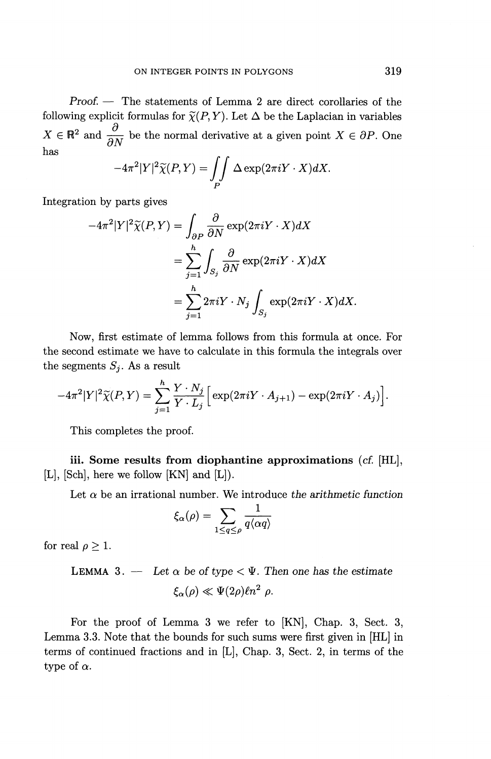*Proof. —* The statements of Lemma 2 are direct corollaries of the following explicit formulas for  $\widetilde{\chi}(P, Y)$ . Let  $\Delta$  be the Laplacian in variables  $X \in \mathbb{R}^2$  and  $\frac{\partial}{\partial X}$  be the normal derivative at a given point  $X \in \partial P$ . One has

$$
-4\pi^2|Y|^2\widetilde{\chi}(P,Y)=\iint_P\Delta\exp(2\pi iY\cdot X)dX.
$$

Integration by parts gives

$$
-4\pi^{2}|Y|^{2}\widetilde{\chi}(P,Y) = \int_{\partial P} \frac{\partial}{\partial N} \exp(2\pi iY \cdot X)dX
$$
  
= 
$$
\sum_{j=1}^{h} \int_{S_{j}} \frac{\partial}{\partial N} \exp(2\pi iY \cdot X)dX
$$
  
= 
$$
\sum_{j=1}^{h} 2\pi iY \cdot N_{j} \int_{S_{j}} \exp(2\pi iY \cdot X)dX.
$$

Now, first estimate of lemma follows from this formula at once. For the second estimate we have to calculate in this formula the integrals over the segments  $S_j$ . As a result

$$
-4\pi^2|Y|^2\widetilde{\chi}(P,Y)=\sum_{j=1}^h\frac{Y\cdot N_j}{Y\cdot L_j}\Big[\exp(2\pi iY\cdot A_{j+1})-\exp(2\pi iY\cdot A_j)\Big].
$$

This completes the proof.

**iii. Some results from diophantine approximations** (cf. [HL], [L], [Sch], here we follow [KN] and [L]).

Let  $\alpha$  be an irrational number. We introduce the arithmetic function

$$
\xi_\alpha(\rho)=\sum_{1\leq q\leq \rho}\frac{1}{q\langle \alpha q\rangle}
$$

for real  $\rho \geq 1$ .

LEMMA 3. — Let 
$$
\alpha
$$
 be of type  $\langle \Psi$ . Then one has the estimate  

$$
\xi_{\alpha}(\rho) \ll \Psi(2\rho)\ln^2 \rho.
$$

For the proof of Lemma 3 we refer to [KN], Chap. 3, Sect. 3, Lemma 3.3. Note that the bounds for such sums were first given in [HL] in terms of continued fractions and in [L], Chap. 3, Sect. 2, in terms of the type of  $\alpha$ .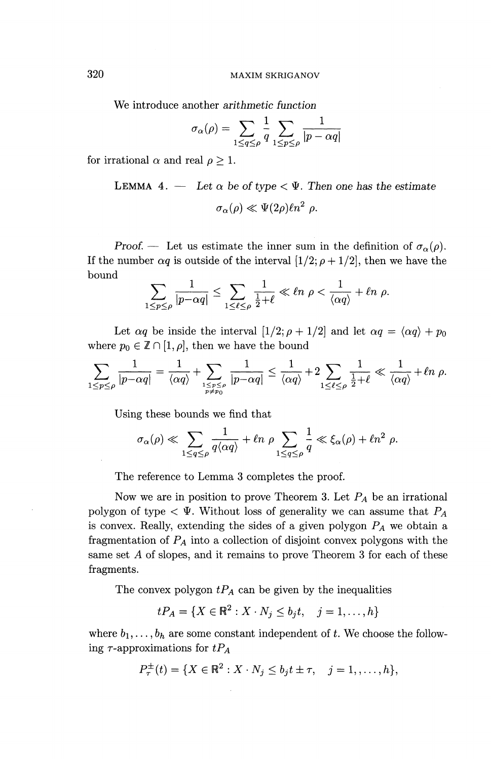We introduce another *arithmetic function*

$$
\sigma_\alpha(\rho) = \sum_{1 \leq q \leq \rho} \frac{1}{q} \sum_{1 \leq p \leq \rho} \frac{1}{|p - \alpha q|}
$$

for irrational  $\alpha$  and real  $\rho \geq 1$ .

LEMMA 4. — Let 
$$
\alpha
$$
 be of type  $\langle \Psi$ . Then one has the estimate  

$$
\sigma_{\alpha}(\rho) \ll \Psi(2\rho)\ell n^2 \rho.
$$

Proof. — Let us estimate the inner sum in the definition of  $\sigma_\alpha(\rho)$ . If the number  $\alpha q$  is outside of the interval  $[1/2; \rho + 1/2]$ , then we have the bound

$$
\sum_{1 \le p \le \rho} \frac{1}{|p - \alpha q|} \le \sum_{1 \le \ell \le \rho} \frac{1}{\frac{1}{2} + \ell} \ll \ell n \; \rho < \frac{1}{\langle \alpha q \rangle} + \ell n \; \rho.
$$

Let  $\alpha q$  be inside the interval  $[1/2; \rho + 1/2]$  and let  $\alpha q = \langle \alpha q \rangle + p_0$ where  $p_0 \in \mathbb{Z} \cap [1, \rho]$ , then we have the bound

$$
\sum_{1 \le p \le \rho} \frac{1}{|p - \alpha q|} = \frac{1}{\langle \alpha q \rangle} + \sum_{\substack{1 \le p \le \rho \\ p \ne p_0}} \frac{1}{|p - \alpha q|} \le \frac{1}{\langle \alpha q \rangle} + 2 \sum_{1 \le \ell \le \rho} \frac{1}{\frac{1}{2} + \ell} \ll \frac{1}{\langle \alpha q \rangle} + \ell n \rho.
$$

Using these bounds we find that

$$
\sigma_{\alpha}(\rho) \ll \sum_{1 \le q \le \rho} \frac{1}{q \langle \alpha q \rangle} + \ell n \rho \sum_{1 \le q \le \rho} \frac{1}{q} \ll \xi_{\alpha}(\rho) + \ell n^2 \rho.
$$

The reference to Lemma 3 completes the proof.

Now we are in position to prove Theorem 3. Let  $P_A$  be an irrational polygon of type  $\langle \Psi$ . Without loss of generality we can assume that  $P_A$ is convex. Really, extending the sides of a given polygon  $P_A$  we obtain a fragmentation of  $P_A$  into a collection of disjoint convex polygons with the same set A of slopes, and it remains to prove Theorem 3 for each of these fragments.

The convex polygon  $tP_A$  can be given by the inequalities

$$
tP_A = \{ X \in \mathbb{R}^2 : X \cdot N_j \le b_j t, \quad j = 1, ..., h \}
$$

where  $b_1, \ldots, b_h$  are some constant independent of *t*. We choose the following  $\tau$ -approximations for  $tP_A$ 

$$
P_{\tau}^{\pm}(t) = \{ X \in \mathbb{R}^2 : X \cdot N_j \le b_j t \pm \tau, \quad j = 1, \dots, h \},\
$$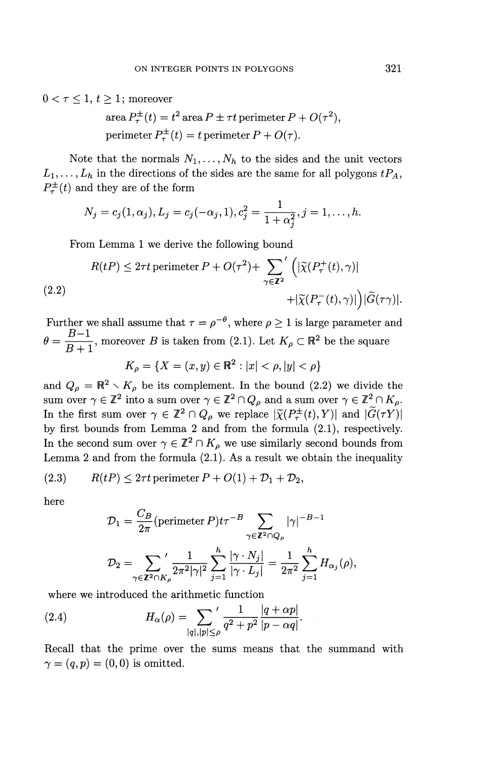$0 < \tau \leq 1, t \geq 1$ ; moreover

area 
$$
P_{\tau}^{\pm}(t) = t^2
$$
 area  $P \pm \tau t$  perimeter  $P + O(\tau^2)$ ,  
perimeter  $P_{\tau}^{\pm}(t) = t$  perimeter  $P + O(\tau)$ .

Note that the normals  $N_1, \ldots, N_h$  to the sides and the unit vectors  $L_1,\ldots,L_h$  in the directions of the sides are the same for all polygons  $tP_A$ ,  $P^{\pm}_{\tau}(t)$  and they are of the form

$$
N_j = c_j(1, \alpha_j), L_j = c_j(-\alpha_j, 1), c_j^2 = \frac{1}{1 + \alpha_j^2}, j = 1, \dots, h.
$$

From Lemma 1 we derive the following bound

(2.2)  
\n
$$
R(tP) \leq 2\tau t \text{ perimeter } P + O(\tau^2) + \sum_{\gamma \in \mathbb{Z}^2} \left( |\widetilde{\chi}(P_{\tau}^+(t), \gamma)| + |\widetilde{\chi}(P_{\tau}^-(t), \gamma)| \right) |\widetilde{G}(\tau \gamma)|.
$$

Further we shall assume that  $\tau = \rho^{-\theta}$ , where  $\rho \ge 1$  is large parameter and  $B-1$  $\theta = \frac{B-1}{B+1}$ , moreover *B* is taken from (2.1). Let  $K_{\rho} \subset \mathbb{R}^2$  be the square

$$
K_{\rho} = \{ X = (x, y) \in \mathbb{R}^2 : |x| < \rho, |y| < \rho \}
$$

 $K_{\rho} = \{X = (x, y) \in \mathbb{R}^2 : |x| < \rho, |y| < \rho\}$ <br>and  $Q_{\rho} = \mathbb{R}^2 \setminus K_{\rho}$  be its complement. In the bound (2.2) we divide the sum over  $\gamma \in \mathbb{Z}^2$  into a sum over  $\gamma \in \mathbb{Z}^2 \cap Q_\rho$  and a sum over  $\gamma \in \mathbb{Z}^2 \cap K_\rho$ . In the first sum over  $\gamma \in \mathbb{Z}^2 \cap Q_\rho$  we replace  $|\widetilde{\chi}(P^{\pm}_{\tau}(t),Y)|$  and  $|\widetilde{G}(\tau Y)|$ by first bounds from Lemma 2 and from the formula (2.1), respectively. In the second sum over  $\gamma \in \mathbb{Z}^2 \cap K_\rho$  we use similarly second bounds from Lemma 2 and from the formula (2.1). As a result we obtain the inequality

(2.3) 
$$
R(tP) \leq 2\tau t \text{ perimeter } P + O(1) + \mathcal{D}_1 + \mathcal{D}_2,
$$

here

$$
\mathcal{D}_1 = \frac{C_B}{2\pi} \text{(perimeter } P) t \tau^{-B} \sum_{\gamma \in \mathbb{Z}^2 \cap Q_{\rho}} |\gamma|^{-B-1}
$$

$$
\mathcal{D}_2 = \sum_{\gamma \in \mathbb{Z}^2 \cap K_{\rho}}' \frac{1}{2\pi^2 |\gamma|^2} \sum_{j=1}^h \frac{|\gamma \cdot N_j|}{|\gamma \cdot L_j|} = \frac{1}{2\pi^2} \sum_{j=1}^h H_{\alpha_j}(\rho),
$$

where we introduced the arithmetic function

(2.4) 
$$
H_{\alpha}(\rho) = \sum_{|q|, |p| \le \rho} \frac{1}{q^2 + p^2} \frac{|q + \alpha p|}{|p - \alpha q|}.
$$

Recall that the prime over the sums means that the summand with  $\gamma = (q, p) = (0, 0)$  is omitted.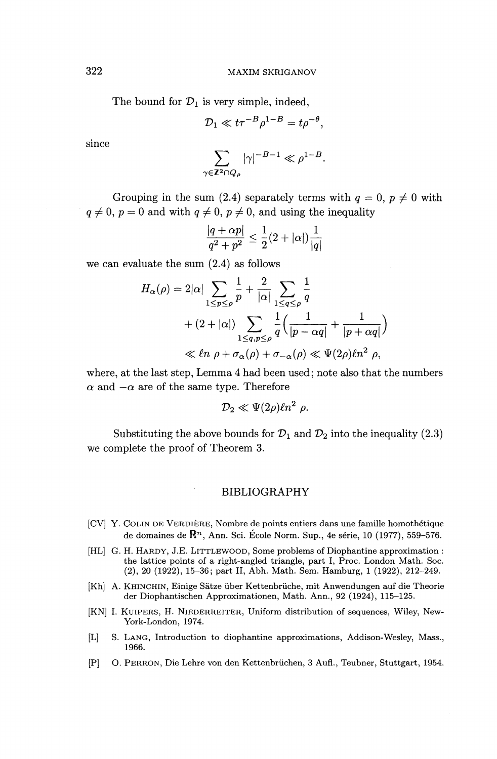The bound for  $\mathcal{D}_1$  is very simple, indeed,

$$
\mathcal{D}_1 \ll t \tau^{-B} \rho^{1-B} = t \rho^{-\theta},
$$

since

$$
\sum_{\gamma \in \mathbb{Z}^2 \cap Q_{\rho}} |\gamma|^{-B-1} \ll \rho^{1-B}.
$$

Grouping in the sum (2.4) separately terms with  $q = 0$ ,  $p \neq 0$  with  $q \neq 0, p = 0$  and with  $q \neq 0, p \neq 0$ , and using the inequality<br>  $\frac{|q + \alpha p|}{r^2} \leq \frac{1}{\alpha}(2 + |\alpha|) \frac{1}{r^2}$ 

$$
\frac{|q+\alpha p|}{q^2+p^2} \le \frac{1}{2}(2+|\alpha|)\frac{1}{|q|}
$$

we can evaluate the sum (2.4) as follows

$$
\frac{|q + \alpha p|}{q^2 + p^2} \le \frac{1}{2} (2 + |\alpha|) \frac{1}{|q|}
$$
  
uate the sum (2.4) as follows  

$$
H_{\alpha}(\rho) = 2|\alpha| \sum_{1 \le p \le \rho} \frac{1}{p} + \frac{2}{|\alpha|} \sum_{1 \le q \le \rho} \frac{1}{q}
$$

$$
+ (2 + |\alpha|) \sum_{1 \le q, p \le \rho} \frac{1}{q} \left( \frac{1}{|p - \alpha q|} + \frac{1}{|p + \alpha q|} \right)
$$

$$
\ll \ell n \rho + \sigma_{\alpha}(\rho) + \sigma_{-\alpha}(\rho) \ll \Psi(2\rho) \ell n^2 \rho,
$$

where, at the last step, Lemma 4 had been used; note also that the numbers  $\alpha$  and  $-\alpha$  are of the same type. Therefore

$$
\mathcal{D}_2 \ll \Psi(2\rho)\ell n^2 \, \rho.
$$

Substituting the above bounds for  $\mathcal{D}_1$  and  $\mathcal{D}_2$  into the inequality (2.3) we complete the proof of Theorem 3.

#### BIBLIOGRAPHY

- [CV] Y. COLIN DE VERDIERE, Nombre de points entiers dans une famille homothetique de domaines de  $\mathbb{R}^n$ , Ann. Sci. École Norm. Sup., 4e série, 10 (1977), 559–576.
- [HL] G. H. HARDY, J.E. LITTLEWOOD, Some problems of Diophantine approximation : the lattice points of a right-angled triangle, part I, Proc. London Math. Soc. (2), 20 (1922), 15-36; part II, Abh. Math. Sem. Hamburg, 1 (1922), 212-249.
- [Kh] A. KHINCHIN, Einige Satze liber Kettenbriiche, mit Anwendungen auf die Theorie der Diophantischen Approximationen, Math. Ann., 92 (1924), 115-125.
- [KN] I. KUIPERS, H. NIEDERREITER, Uniform distribution of sequences, Wiley, New-York-London, 1974.
- [L] S. LANG, Introduction to diophantine approximations, Addison-Wesley, Mass., 1966.
- [P] 0. PERRON, Die Lehre von den Kettenbriichen, 3 Aufl., Teubner, Stuttgart, 1954.